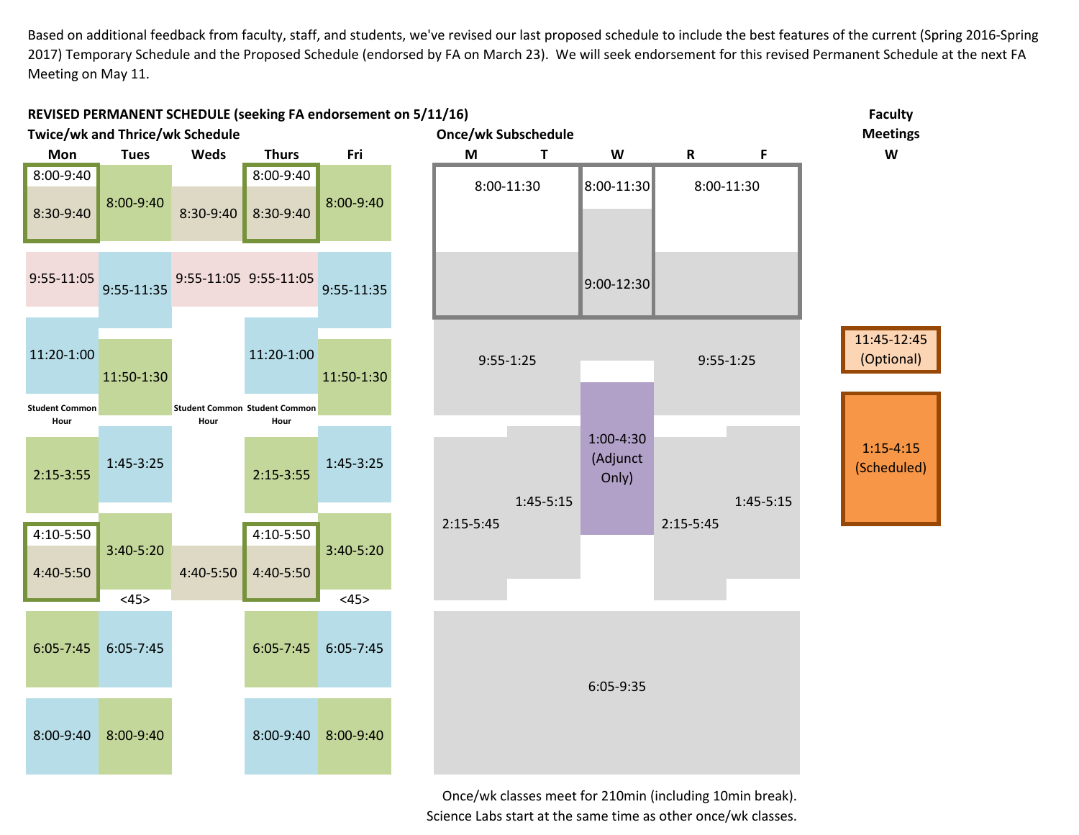Based on additional feedback from faculty, staff, and students, we've revised our last proposed schedule to include the best features of the current (Spring 2016‐Spring 2017) Temporary Schedule and the Proposed Schedule (endorsed by FA on March 23). We will seek endorsement for this revised Permanent Schedule at the next FA Meeting on May 11.



Once/wk classes meet for 210min (including 10min break). Science Labs start at the same time as other once/wk classes.